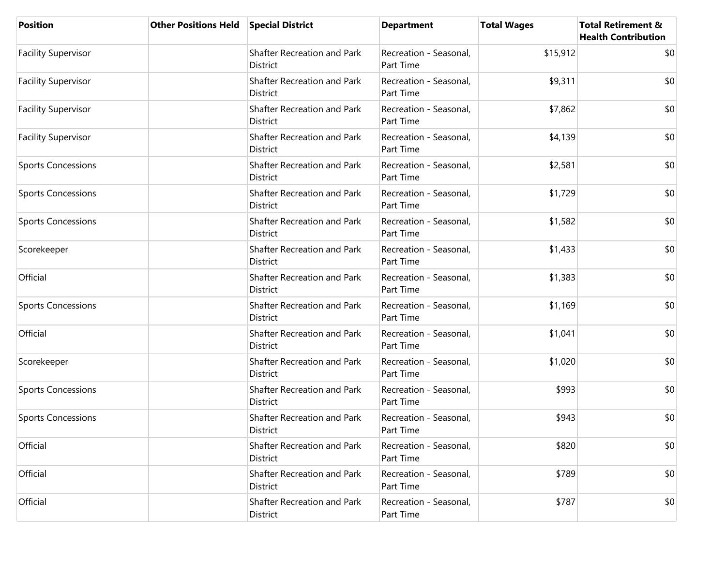| <b>Position</b>            | <b>Other Positions Held Special District</b> |                                                       | <b>Department</b>                   | <b>Total Wages</b> | <b>Total Retirement &amp;</b><br><b>Health Contribution</b> |
|----------------------------|----------------------------------------------|-------------------------------------------------------|-------------------------------------|--------------------|-------------------------------------------------------------|
| <b>Facility Supervisor</b> |                                              | Shafter Recreation and Park<br><b>District</b>        | Recreation - Seasonal,<br>Part Time | \$15,912           | \$0                                                         |
| <b>Facility Supervisor</b> |                                              | Shafter Recreation and Park<br>District               | Recreation - Seasonal,<br>Part Time | \$9,311            | \$0                                                         |
| <b>Facility Supervisor</b> |                                              | <b>Shafter Recreation and Park</b><br><b>District</b> | Recreation - Seasonal,<br>Part Time | \$7,862            | \$0                                                         |
| <b>Facility Supervisor</b> |                                              | Shafter Recreation and Park<br>District               | Recreation - Seasonal,<br>Part Time | \$4,139            | \$0                                                         |
| <b>Sports Concessions</b>  |                                              | Shafter Recreation and Park<br>District               | Recreation - Seasonal,<br>Part Time | \$2,581            | \$0                                                         |
| <b>Sports Concessions</b>  |                                              | Shafter Recreation and Park<br><b>District</b>        | Recreation - Seasonal,<br>Part Time | \$1,729            | \$0                                                         |
| <b>Sports Concessions</b>  |                                              | Shafter Recreation and Park<br>District               | Recreation - Seasonal,<br>Part Time | \$1,582            | \$0                                                         |
| Scorekeeper                |                                              | Shafter Recreation and Park<br><b>District</b>        | Recreation - Seasonal,<br>Part Time | \$1,433            | \$0                                                         |
| Official                   |                                              | Shafter Recreation and Park<br>District               | Recreation - Seasonal,<br>Part Time | \$1,383            | \$0                                                         |
| <b>Sports Concessions</b>  |                                              | Shafter Recreation and Park<br><b>District</b>        | Recreation - Seasonal,<br>Part Time | \$1,169            | \$0                                                         |
| Official                   |                                              | Shafter Recreation and Park<br><b>District</b>        | Recreation - Seasonal,<br>Part Time | \$1,041            | \$0                                                         |
| Scorekeeper                |                                              | Shafter Recreation and Park<br>District               | Recreation - Seasonal,<br>Part Time | \$1,020            | \$0                                                         |
| <b>Sports Concessions</b>  |                                              | Shafter Recreation and Park<br><b>District</b>        | Recreation - Seasonal,<br>Part Time | \$993              | \$0                                                         |
| <b>Sports Concessions</b>  |                                              | Shafter Recreation and Park<br>District               | Recreation - Seasonal,<br>Part Time | \$943              | \$0                                                         |
| Official                   |                                              | Shafter Recreation and Park<br>District               | Recreation - Seasonal,<br>Part Time | \$820              | \$0                                                         |
| Official                   |                                              | Shafter Recreation and Park<br>District               | Recreation - Seasonal,<br>Part Time | \$789              | \$0                                                         |
| Official                   |                                              | Shafter Recreation and Park<br>District               | Recreation - Seasonal,<br>Part Time | \$787              | \$0                                                         |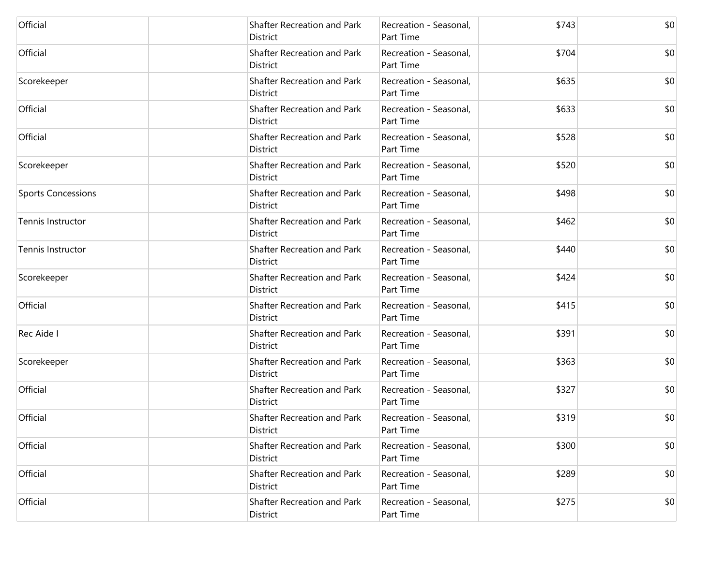| Official                  | Shafter Recreation and Park<br>District        | Recreation - Seasonal,<br>Part Time        | \$743 | \$0 |
|---------------------------|------------------------------------------------|--------------------------------------------|-------|-----|
| Official                  | Shafter Recreation and Park<br><b>District</b> | Recreation - Seasonal,<br>Part Time        | \$704 | \$0 |
| Scorekeeper               | Shafter Recreation and Park<br>District        | Recreation - Seasonal,<br>Part Time        | \$635 | \$0 |
| Official                  | Shafter Recreation and Park<br>District        | Recreation - Seasonal,<br>Part Time        | \$633 | \$0 |
| Official                  | Shafter Recreation and Park<br>District        | Recreation - Seasonal,<br><b>Part Time</b> | \$528 | \$0 |
| Scorekeeper               | Shafter Recreation and Park<br>District        | Recreation - Seasonal,<br>Part Time        | \$520 | \$0 |
| <b>Sports Concessions</b> | Shafter Recreation and Park<br>District        | Recreation - Seasonal,<br>Part Time        | \$498 | \$0 |
| Tennis Instructor         | Shafter Recreation and Park<br>District        | Recreation - Seasonal,<br>Part Time        | \$462 | \$0 |
| Tennis Instructor         | Shafter Recreation and Park<br><b>District</b> | Recreation - Seasonal,<br>Part Time        | \$440 | \$0 |
| Scorekeeper               | Shafter Recreation and Park<br>District        | Recreation - Seasonal,<br>Part Time        | \$424 | \$0 |
| Official                  | Shafter Recreation and Park<br>District        | Recreation - Seasonal,<br>Part Time        | \$415 | \$0 |
| Rec Aide I                | Shafter Recreation and Park<br>District        | Recreation - Seasonal,<br>Part Time        | \$391 | \$0 |
| Scorekeeper               | Shafter Recreation and Park<br>District        | Recreation - Seasonal,<br>Part Time        | \$363 | \$0 |
| Official                  | Shafter Recreation and Park<br>District        | Recreation - Seasonal,<br>Part Time        | \$327 | \$0 |
| Official                  | Shafter Recreation and Park<br>District        | Recreation - Seasonal,<br>Part Time        | \$319 | \$0 |
| Official                  | Shafter Recreation and Park<br>District        | Recreation - Seasonal,<br>Part Time        | \$300 | \$0 |
| Official                  | <b>Shafter Recreation and Park</b><br>District | Recreation - Seasonal,<br>Part Time        | \$289 | \$0 |
| Official                  | Shafter Recreation and Park<br>District        | Recreation - Seasonal,<br>Part Time        | \$275 | \$0 |